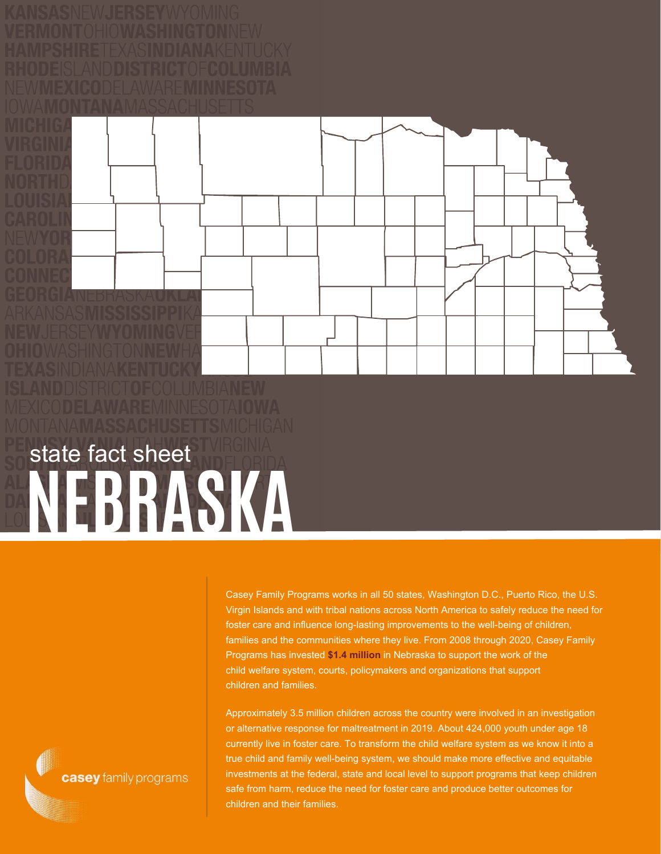**NEBRASKA** state fact sheet

> Casey Family Programs works in all 50 states, Washington D.C., Puerto Rico, the U.S. Virgin Islands and with tribal nations across North America to safely reduce the need for foster care and influence long-lasting improvements to the well-being of children, families and the communities where they live. From 2008 through 2020, Casey Family Programs has invested **\$1.4 million** in Nebraska to support the work of the child welfare system, courts, policymakers and organizations that support children and families.

Approximately 3.5 million children across the country were involved in an investigation or alternative response for maltreatment in 2019. About 424,000 youth under age 18 currently live in foster care. To transform the child welfare system as we know it into a true child and family well-being system, we should make more effective and equitable investments at the federal, state and local level to support programs that keep children safe from harm, reduce the need for foster care and produce better outcomes for children and their families.

casey family programs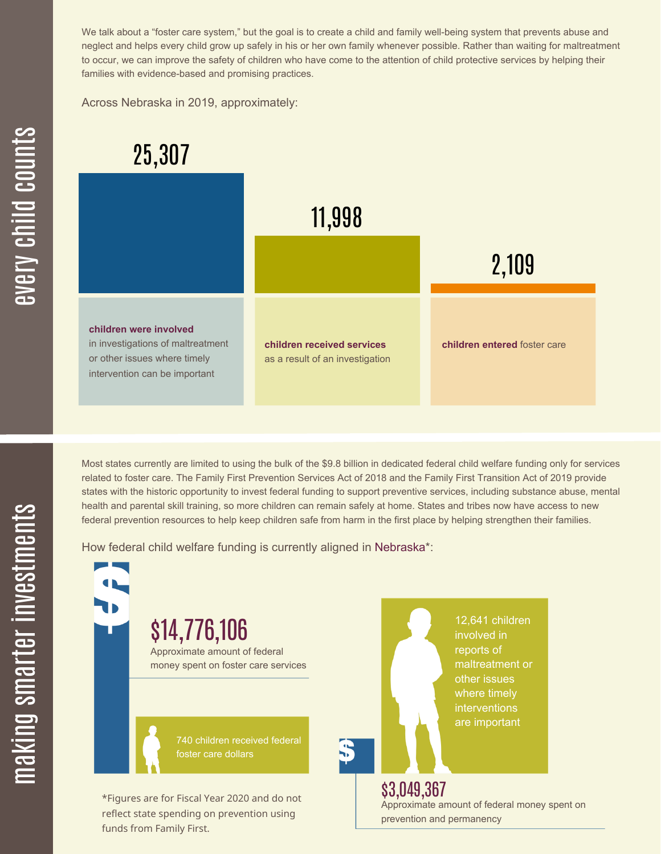We talk about a "foster care system," but the goal is to create a child and family well-being system that prevents abuse and neglect and helps every child grow up safely in his or her own family whenever possible. Rather than waiting for maltreatment to occur, we can improve the safety of children who have come to the attention of child protective services by helping their families with evidence-based and promising practices.

Across Nebraska in 2019, approximately:



Most states currently are limited to using the bulk of the \$9.8 billion in dedicated federal child welfare funding only for services related to foster care. The Family First Prevention Services Act of 2018 and the Family First Transition Act of 2019 provide states with the historic opportunity to invest federal funding to support preventive services, including substance abuse, mental health and parental skill training, so more children can remain safely at home. States and tribes now have access to new federal prevention resources to help keep children safe from harm in the first place by helping strengthen their families.

How federal child welfare funding is currently aligned in Nebraska\*:



 $\mathbf \Xi$ **CO** kin gs $\mathbf \Xi$ **CO** rtæ

r in

 $\, >$ c جا  $\mathbf \Xi$ c  $\blacksquare$  $\mathbf{S}$ 

 $\bigcirc$ <u>u</u>  $\blacksquare$  $\mathbf{S}$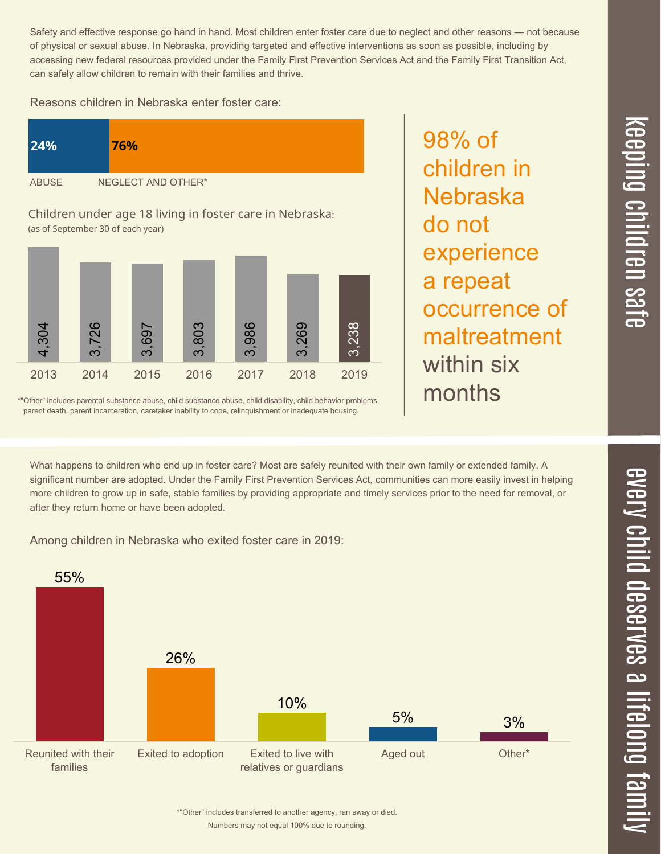Safety and effective response go hand in hand. Most children enter foster care due to neglect and other reasons — not because of physical or sexual abuse. In Nebraska, providing targeted and effective interventions as soon as possible, including by accessing new federal resources provided under the Family First Prevention Services Act and the Family First Transition Act, can safely allow children to remain with their families and thrive.

Reasons children in Nebraska enter foster care:





\*"Other" includes parental substance abuse, child substance abuse, child disability, child behavior problems, parent death, parent incarceration, caretaker inability to cope, relinquishment or inadequate housing.

98% of children in Nebraska do not experience a repeat occurrence of maltreatment within six months

What happens to children who end up in foster care? Most are safely reunited with their own family or extended family. A significant number are adopted. Under the Family First Prevention Services Act, communities can more easily invest in helping more children to grow up in safe, stable families by providing appropriate and timely services prior to the need for removal, or after they return home or have been adopted.

Among children in Nebraska who exited foster care in 2019: